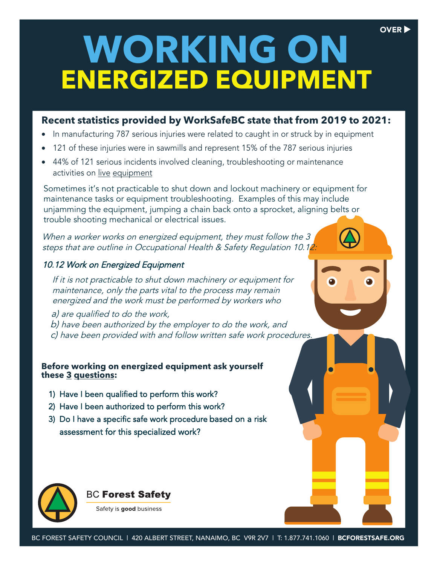# **WORKING ON ENERGIZED EQUIPMENT**

OVER<sup>D</sup>

### **Recent statistics provided by WorkSafeBC state that from 2019 to 2021:**

- In manufacturing 787 serious injuries were related to caught in or struck by in equipment
- 121 of these injuries were in sawmills and represent 15% of the 787 serious injuries
- 44% of 121 serious incidents involved cleaning, troubleshooting or maintenance activities on live equipment

Sometimes it's not practicable to shut down and lockout machinery or equipment for maintenance tasks or equipment troubleshooting. Examples of this may include unjamming the equipment, jumping a chain back onto a sprocket, aligning belts or trouble shooting mechanical or electrical issues.

When a worker works on energized equipment, they must follow the 3 steps that are outline in Occupational Health & Safety Regulation 10.12:

#### 10.12 Work on Energized Equipment

If it is not practicable to shut down machinery or equipment for maintenance, only the parts vital to the process may remain energized and the work must be performed by workers who

a) are qualified to do the work, b) have been authorized by the employer to do the work, and c) have been provided with and follow written safe work procedures.

#### **Before working on energized equipment ask yourself these 3 questions:**

- 1) Have I been qualified to perform this work?
- 2) Have I been authorized to perform this work?
- 3) Do I have a specific safe work procedure based on a risk assessment for this specialized work?



#### **BC Forest Safety**

Safety is good business